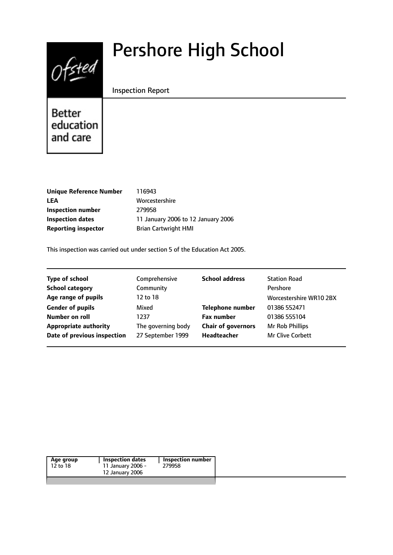

# Pershore High School

# Inspection Report

Better education and care

| Unique Reference Number    |  |
|----------------------------|--|
| LEA                        |  |
| Inspection number          |  |
| <b>Inspection dates</b>    |  |
| <b>Reporting inspector</b> |  |

**Unique Reference Number** 116943 **LEA** Worcestershire **Inspection number** 279958 **Inspection dates** 11 January 2006 to 12 January 2006 **Brian Cartwright HMI** 

This inspection was carried out under section 5 of the Education Act 2005.

| <b>Type of school</b>        | Comprehensive      | <b>School address</b>     | <b>Station Road</b>     |
|------------------------------|--------------------|---------------------------|-------------------------|
| <b>School category</b>       | Community          |                           | Pershore                |
| Age range of pupils          | 12 to 18           |                           | Worcestershire WR10 2BX |
| <b>Gender of pupils</b>      | Mixed              | <b>Telephone number</b>   | 01386 552471            |
| Number on roll               | 1237               | <b>Fax number</b>         | 01386 555104            |
| <b>Appropriate authority</b> | The governing body | <b>Chair of governors</b> | Mr Rob Phillips         |
| Date of previous inspection  | 27 September 1999  | Headteacher               | Mr Clive Corbett        |
|                              |                    |                           |                         |

| Age group | Inspection dates  | Inspection number |
|-----------|-------------------|-------------------|
| 12 to 18  | 11 January 2006 - | 279958            |
|           | 12 January 2006   |                   |
|           |                   |                   |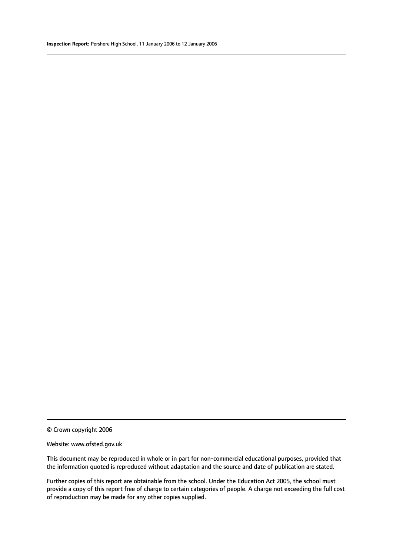© Crown copyright 2006

#### Website: www.ofsted.gov.uk

This document may be reproduced in whole or in part for non-commercial educational purposes, provided that the information quoted is reproduced without adaptation and the source and date of publication are stated.

Further copies of this report are obtainable from the school. Under the Education Act 2005, the school must provide a copy of this report free of charge to certain categories of people. A charge not exceeding the full cost of reproduction may be made for any other copies supplied.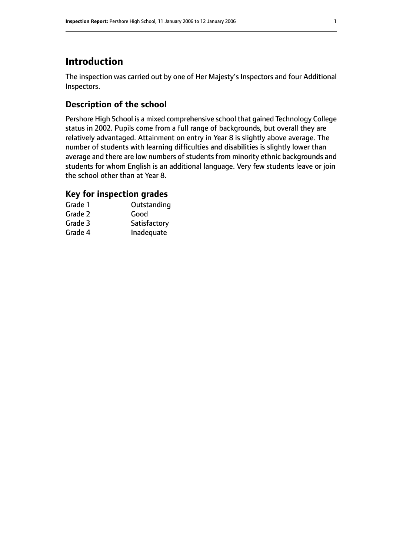# **Introduction**

The inspection was carried out by one of Her Majesty's Inspectors and four Additional Inspectors.

# **Description of the school**

Pershore High School is a mixed comprehensive school that gained Technology College status in 2002. Pupils come from a full range of backgrounds, but overall they are relatively advantaged. Attainment on entry in Year 8 is slightly above average. The number of students with learning difficulties and disabilities is slightly lower than average and there are low numbers of students from minority ethnic backgrounds and students for whom English is an additional language. Very few students leave or join the school other than at Year 8.

# **Key for inspection grades**

| Grade 1 | Outstanding  |
|---------|--------------|
| Grade 2 | Good         |
| Grade 3 | Satisfactory |
| Grade 4 | Inadequate   |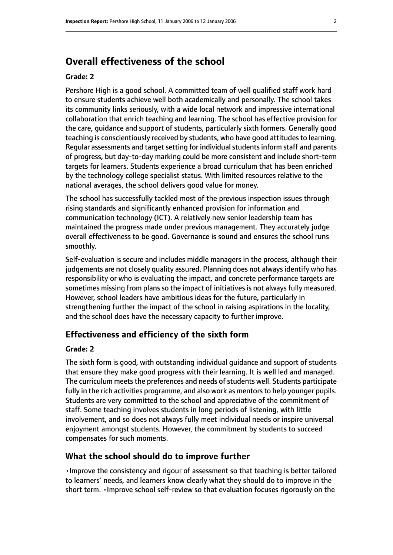# **Overall effectiveness of the school**

#### **Grade: 2**

Pershore High is a good school. A committed team of well qualified staff work hard to ensure students achieve well both academically and personally. The school takes its community links seriously, with a wide local network and impressive international collaboration that enrich teaching and learning. The school has effective provision for the care, guidance and support of students, particularly sixth formers. Generally good teaching is conscientiously received by students, who have good attitudes to learning. Regular assessments and target setting for individual students inform staff and parents of progress, but day-to-day marking could be more consistent and include short-term targets for learners. Students experience a broad curriculum that has been enriched by the technology college specialist status. With limited resources relative to the national averages, the school delivers good value for money.

The school has successfully tackled most of the previous inspection issues through rising standards and significantly enhanced provision for information and communication technology (ICT). A relatively new senior leadership team has maintained the progress made under previous management. They accurately judge overall effectiveness to be good. Governance is sound and ensures the school runs smoothly.

Self-evaluation is secure and includes middle managers in the process, although their judgements are not closely quality assured. Planning does not always identify who has responsibility or who is evaluating the impact, and concrete performance targets are sometimes missing from plans so the impact of initiatives is not always fully measured. However, school leaders have ambitious ideas for the future, particularly in strengthening further the impact of the school in raising aspirations in the locality, and the school does have the necessary capacity to further improve.

## **Effectiveness and efficiency of the sixth form**

#### **Grade: 2**

The sixth form is good, with outstanding individual guidance and support of students that ensure they make good progress with their learning. It is well led and managed. The curriculum meets the preferences and needs of students well. Students participate fully in the rich activities programme, and also work as mentors to help younger pupils. Students are very committed to the school and appreciative of the commitment of staff. Some teaching involves students in long periods of listening, with little involvement, and so does not always fully meet individual needs or inspire universal enjoyment amongst students. However, the commitment by students to succeed compensates for such moments.

#### **What the school should do to improve further**

•Improve the consistency and rigour of assessment so that teaching is better tailored to learners' needs, and learners know clearly what they should do to improve in the short term. •Improve school self-review so that evaluation focuses rigorously on the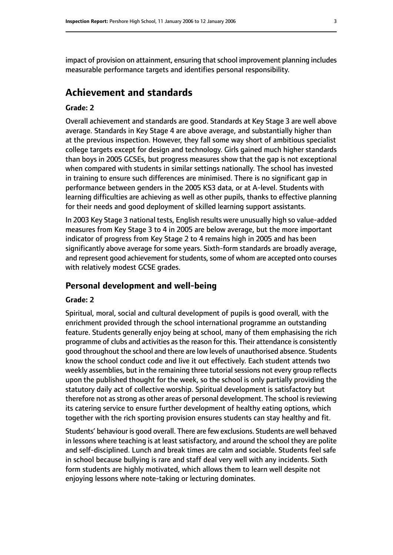impact of provision on attainment, ensuring that school improvement planning includes measurable performance targets and identifies personal responsibility.

# **Achievement and standards**

#### **Grade: 2**

Overall achievement and standards are good. Standards at Key Stage 3 are well above average. Standards in Key Stage 4 are above average, and substantially higher than at the previous inspection. However, they fall some way short of ambitious specialist college targets except for design and technology. Girls gained much higher standards than boys in 2005 GCSEs, but progress measures show that the gap is not exceptional when compared with students in similar settings nationally. The school has invested in training to ensure such differences are minimised. There is no significant gap in performance between genders in the 2005 KS3 data, or at A-level. Students with learning difficulties are achieving as well as other pupils, thanks to effective planning for their needs and good deployment of skilled learning support assistants.

In 2003 Key Stage 3 national tests, English results were unusually high so value-added measures from Key Stage 3 to 4 in 2005 are below average, but the more important indicator of progress from Key Stage 2 to 4 remains high in 2005 and has been significantly above average for some years. Sixth-form standards are broadly average, and represent good achievement for students, some of whom are accepted onto courses with relatively modest GCSE grades.

#### **Personal development and well-being**

#### **Grade: 2**

Spiritual, moral, social and cultural development of pupils is good overall, with the enrichment provided through the school international programme an outstanding feature. Students generally enjoy being at school, many of them emphasising the rich programme of clubs and activities asthe reason for this. Their attendance is consistently good throughout the school and there are low levels of unauthorised absence. Students know the school conduct code and live it out effectively. Each student attends two weekly assemblies, but in the remaining three tutorial sessions not every group reflects upon the published thought for the week, so the school is only partially providing the statutory daily act of collective worship. Spiritual development is satisfactory but therefore not as strong as other areas of personal development. The school is reviewing its catering service to ensure further development of healthy eating options, which together with the rich sporting provision ensures students can stay healthy and fit.

Students' behaviour is good overall. There are few exclusions. Students are well behaved in lessons where teaching is at least satisfactory, and around the school they are polite and self-disciplined. Lunch and break times are calm and sociable. Students feel safe in school because bullying is rare and staff deal very well with any incidents. Sixth form students are highly motivated, which allows them to learn well despite not enjoying lessons where note-taking or lecturing dominates.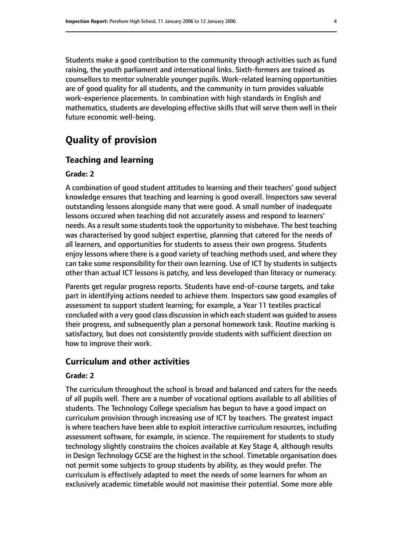Students make a good contribution to the community through activities such as fund raising, the youth parliament and international links. Sixth-formers are trained as counsellors to mentor vulnerable younger pupils. Work-related learning opportunities are of good quality for all students, and the community in turn provides valuable work-experience placements. In combination with high standards in English and mathematics, students are developing effective skills that will serve them well in their future economic well-being.

# **Quality of provision**

## **Teaching and learning**

#### **Grade: 2**

A combination of good student attitudes to learning and their teachers' good subject knowledge ensures that teaching and learning is good overall. Inspectors saw several outstanding lessons alongside many that were good. A small number of inadequate lessons occured when teaching did not accurately assess and respond to learners' needs. As a result some students took the opportunity to misbehave. The best teaching was characterised by good subject expertise, planning that catered for the needs of all learners, and opportunities for students to assess their own progress. Students enjoy lessons where there is a good variety of teaching methods used, and where they can take some responsibility for their own learning. Use of ICT by students in subjects other than actual ICT lessons is patchy, and less developed than literacy or numeracy.

Parents get regular progress reports. Students have end-of-course targets, and take part in identifying actions needed to achieve them. Inspectors saw good examples of assessment to support student learning; for example, a Year 11 textiles practical concluded with a very good class discussion in which each student was guided to assess their progress, and subsequently plan a personal homework task. Routine marking is satisfactory, but does not consistently provide students with sufficient direction on how to improve their work.

# **Curriculum and other activities**

#### **Grade: 2**

The curriculum throughout the school is broad and balanced and caters for the needs of all pupils well. There are a number of vocational options available to all abilities of students. The Technology College specialism has begun to have a good impact on curriculum provision through increasing use of ICT by teachers. The greatest impact is where teachers have been able to exploit interactive curriculum resources, including assessment software, for example, in science. The requirement for students to study technology slightly constrains the choices available at Key Stage 4, although results in Design Technology GCSE are the highest in the school. Timetable organisation does not permit some subjects to group students by ability, as they would prefer. The curriculum is effectively adapted to meet the needs of some learners for whom an exclusively academic timetable would not maximise their potential. Some more able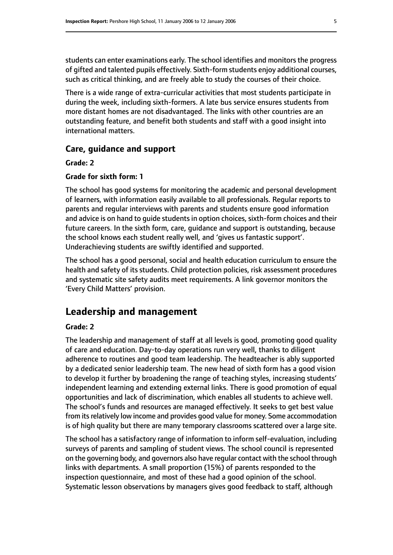students can enter examinations early. The school identifies and monitors the progress of gifted and talented pupils effectively. Sixth-form students enjoy additional courses, such as critical thinking, and are freely able to study the courses of their choice.

There is a wide range of extra-curricular activities that most students participate in during the week, including sixth-formers. A late bus service ensures students from more distant homes are not disadvantaged. The links with other countries are an outstanding feature, and benefit both students and staff with a good insight into international matters.

# **Care, guidance and support**

#### **Grade: 2**

#### **Grade for sixth form: 1**

The school has good systems for monitoring the academic and personal development of learners, with information easily available to all professionals. Regular reports to parents and regular interviews with parents and students ensure good information and advice is on hand to guide students in option choices, sixth-form choices and their future careers. In the sixth form, care, guidance and support is outstanding, because the school knows each student really well, and 'gives us fantastic support'. Underachieving students are swiftly identified and supported.

The school has a good personal, social and health education curriculum to ensure the health and safety of its students. Child protection policies, risk assessment procedures and systematic site safety audits meet requirements. A link governor monitors the 'Every Child Matters' provision.

# **Leadership and management**

#### **Grade: 2**

The leadership and management of staff at all levels is good, promoting good quality of care and education. Day-to-day operations run very well, thanks to diligent adherence to routines and good team leadership. The headteacher is ably supported by a dedicated senior leadership team. The new head of sixth form has a good vision to develop it further by broadening the range of teaching styles, increasing students' independent learning and extending external links. There is good promotion of equal opportunities and lack of discrimination, which enables all students to achieve well. The school's funds and resources are managed effectively. It seeks to get best value from its relatively low income and provides good value for money. Some accommodation is of high quality but there are many temporary classrooms scattered over a large site.

The school has a satisfactory range of information to inform self-evaluation, including surveys of parents and sampling of student views. The school council is represented on the governing body, and governors also have regular contact with the school through links with departments. A small proportion (15%) of parents responded to the inspection questionnaire, and most of these had a good opinion of the school. Systematic lesson observations by managers gives good feedback to staff, although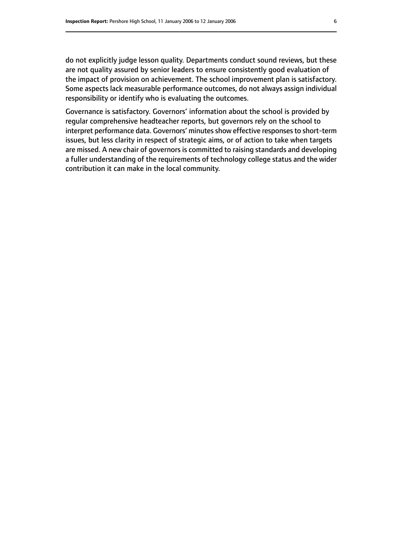do not explicitly judge lesson quality. Departments conduct sound reviews, but these are not quality assured by senior leaders to ensure consistently good evaluation of the impact of provision on achievement. The school improvement plan is satisfactory. Some aspects lack measurable performance outcomes, do not always assign individual responsibility or identify who is evaluating the outcomes.

Governance is satisfactory. Governors' information about the school is provided by regular comprehensive headteacher reports, but governors rely on the school to interpret performance data. Governors' minutes show effective responses to short-term issues, but less clarity in respect of strategic aims, or of action to take when targets are missed. A new chair of governors is committed to raising standards and developing a fuller understanding of the requirements of technology college status and the wider contribution it can make in the local community.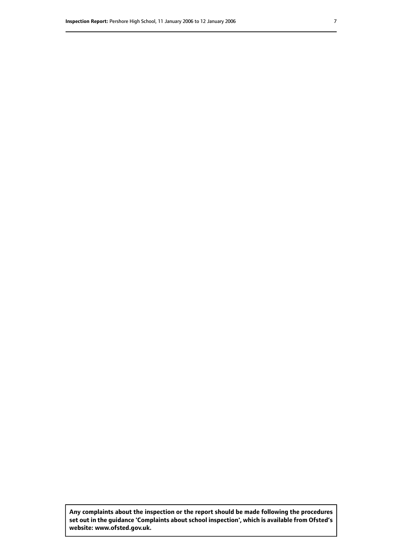**Any complaints about the inspection or the report should be made following the procedures set out inthe guidance 'Complaints about school inspection', whichis available from Ofsted's website: www.ofsted.gov.uk.**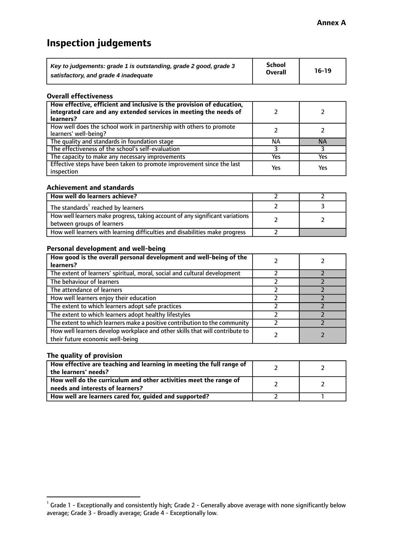# **Inspection judgements**

| Key to judgements: grade 1 is outstanding, grade 2 good, grade 3 | School         | $16-19$ |
|------------------------------------------------------------------|----------------|---------|
| satisfactory, and grade 4 inadequate                             | <b>Overall</b> |         |

#### **Overall effectiveness**

| How effective, efficient and inclusive is the provision of education,<br>integrated care and any extended services in meeting the needs of<br>learners? |     |           |
|---------------------------------------------------------------------------------------------------------------------------------------------------------|-----|-----------|
| How well does the school work in partnership with others to promote<br>learners' well-being?                                                            |     |           |
| The quality and standards in foundation stage                                                                                                           | ΝA  | <b>NA</b> |
| The effectiveness of the school's self-evaluation                                                                                                       |     |           |
| The capacity to make any necessary improvements                                                                                                         | Yes | Yes       |
| Effective steps have been taken to promote improvement since the last<br>inspection                                                                     | Yes | Yes       |

#### **Achievement and standards**

| How well do learners achieve?                                                                               |  |
|-------------------------------------------------------------------------------------------------------------|--|
| The standards <sup>1</sup> reached by learners                                                              |  |
| How well learners make progress, taking account of any significant variations<br>between groups of learners |  |
| How well learners with learning difficulties and disabilities make progress                                 |  |

#### **Personal development and well-being**

| How good is the overall personal development and well-being of the<br>learners?                                  |  |
|------------------------------------------------------------------------------------------------------------------|--|
| The extent of learners' spiritual, moral, social and cultural development                                        |  |
| The behaviour of learners                                                                                        |  |
| The attendance of learners                                                                                       |  |
| How well learners enjoy their education                                                                          |  |
| The extent to which learners adopt safe practices                                                                |  |
| The extent to which learners adopt healthy lifestyles                                                            |  |
| The extent to which learners make a positive contribution to the community                                       |  |
| How well learners develop workplace and other skills that will contribute to<br>their future economic well-being |  |

# **The quality of provision**

| How effective are teaching and learning in meeting the full range of<br>the learners' needs?          |  |
|-------------------------------------------------------------------------------------------------------|--|
| How well do the curriculum and other activities meet the range of<br>needs and interests of learners? |  |
| How well are learners cared for, guided and supported?                                                |  |

 $^1$  Grade 1 - Exceptionally and consistently high; Grade 2 - Generally above average with none significantly below average; Grade 3 - Broadly average; Grade 4 - Exceptionally low.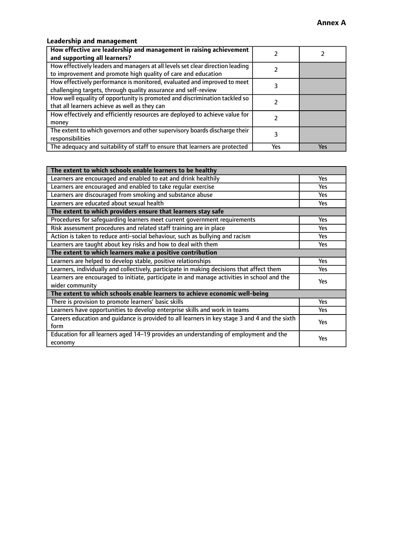# **Leadership and management**

| How effective are leadership and management in raising achievement<br>and supporting all learners?                                              |     |     |
|-------------------------------------------------------------------------------------------------------------------------------------------------|-----|-----|
| How effectively leaders and managers at all levels set clear direction leading<br>to improvement and promote high quality of care and education |     |     |
| How effectively performance is monitored, evaluated and improved to meet<br>challenging targets, through quality assurance and self-review      |     |     |
| How well equality of opportunity is promoted and discrimination tackled so<br>that all learners achieve as well as they can                     |     |     |
| How effectively and efficiently resources are deployed to achieve value for<br>money                                                            |     |     |
| The extent to which governors and other supervisory boards discharge their<br>responsibilities                                                  |     |     |
| The adequacy and suitability of staff to ensure that learners are protected                                                                     | Yes | Yes |

| The extent to which schools enable learners to be healthy                                     |            |
|-----------------------------------------------------------------------------------------------|------------|
| Learners are encouraged and enabled to eat and drink healthily                                | Yes        |
| Learners are encouraged and enabled to take regular exercise                                  | <b>Yes</b> |
| Learners are discouraged from smoking and substance abuse                                     | Yes        |
| Learners are educated about sexual health                                                     | Yes        |
| The extent to which providers ensure that learners stay safe                                  |            |
| Procedures for safeguarding learners meet current government requirements                     | Yes        |
| Risk assessment procedures and related staff training are in place                            | <b>Yes</b> |
| Action is taken to reduce anti-social behaviour, such as bullying and racism                  | Yes        |
| Learners are taught about key risks and how to deal with them                                 | Yes        |
| The extent to which learners make a positive contribution                                     |            |
| Learners are helped to develop stable, positive relationships                                 | <b>Yes</b> |
| Learners, individually and collectively, participate in making decisions that affect them     | <b>Yes</b> |
| Learners are encouraged to initiate, participate in and manage activities in school and the   | <b>Yes</b> |
| wider community                                                                               |            |
| The extent to which schools enable learners to achieve economic well-being                    |            |
| There is provision to promote learners' basic skills                                          | Yes        |
| Learners have opportunities to develop enterprise skills and work in teams                    | Yes        |
| Careers education and quidance is provided to all learners in key stage 3 and 4 and the sixth | Yes        |
| form                                                                                          |            |
| Education for all learners aged 14-19 provides an understanding of employment and the         | Yes        |
| economy                                                                                       |            |